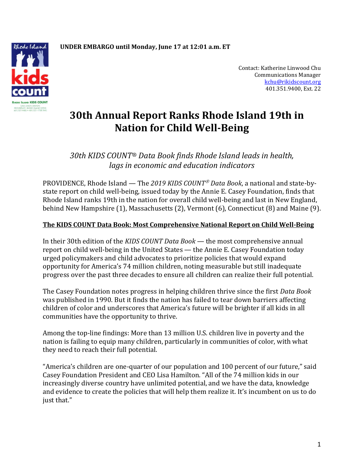

Contact: Katherine Linwood Chu Communications Manager [kchu@rikidscount.org](mailto:kchu@rikidscount.org) 401.351.9400, Ext. 22

# **30th Annual Report Ranks Rhode Island 19th in Nation for Child Well-Being**

# *30th KIDS COUNT® Data Book finds Rhode Island leads in health, lags in economic and education indicators*

PROVIDENCE, Rhode Island — The *2019 KIDS COUNT Data Book*, a national and state-bystate report on child well-being, issued today by the Annie E. Casey Foundation, finds that Rhode Island ranks 19th in the nation for overall child well-being and last in New England, behind New Hampshire (1), Massachusetts (2), Vermont (6), Connecticut (8) and Maine (9).

## **The KIDS COUNT Data Book: Most Comprehensive National Report on Child Well-Being**

In their 30th edition of the *KIDS COUNT Data Book* — the most comprehensive annual report on child well-being in the United States — the Annie E. Casey Foundation today urged policymakers and child advocates to prioritize policies that would expand opportunity for America's 74 million children, noting measurable but still inadequate progress over the past three decades to ensure all children can realize their full potential.

The Casey Foundation notes progress in helping children thrive since the first *Data Book*  was published in 1990. But it finds the nation has failed to tear down barriers affecting children of color and underscores that America's future will be brighter if all kids in all communities have the opportunity to thrive.

Among the top-line findings: More than 13 million U.S. children live in poverty and the nation is failing to equip many children, particularly in communities of color, with what they need to reach their full potential.

"America's children are one-quarter of our population and 100 percent of our future," said Casey Foundation President and CEO Lisa Hamilton. "All of the 74 million kids in our increasingly diverse country have unlimited potential, and we have the data, knowledge and evidence to create the policies that will help them realize it. It's incumbent on us to do just that."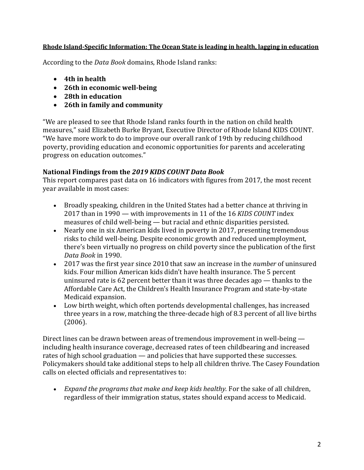## **Rhode Island-Specific Information: The Ocean State is leading in health, lagging in education**

According to the *Data Book* domains, Rhode Island ranks:

- **4th in health**
- **26th in economic well-being**
- **28th in education**
- **26th in family and community**

"We are pleased to see that Rhode Island ranks fourth in the nation on child health measures," said Elizabeth Burke Bryant, Executive Director of Rhode Island KIDS COUNT. "We have more work to do to improve our overall rank of 19th by reducing childhood poverty, providing education and economic opportunities for parents and accelerating progress on education outcomes."

## **National Findings from the** *2019 KIDS COUNT Data Book*

This report compares past data on 16 indicators with figures from 2017, the most recent year available in most cases:

- Broadly speaking, children in the United States had a better chance at thriving in 2017 than in 1990 — with improvements in 11 of the 16 *KIDS COUNT* index measures of child well-being — but racial and ethnic disparities persisted.
- Nearly one in six American kids lived in poverty in 2017, presenting tremendous risks to child well-being. Despite economic growth and reduced unemployment, there's been virtually no progress on child poverty since the publication of the first *Data Book* in 1990.
- 2017 was the first year since 2010 that saw an increase in the *number* of uninsured kids. Four million American kids didn't have health insurance. The 5 percent uninsured rate is 62 percent better than it was three decades ago — thanks to the Affordable Care Act, the Children's Health Insurance Program and state-by-state Medicaid expansion.
- Low birth weight, which often portends developmental challenges, has increased three years in a row, matching the three-decade high of 8.3 percent of all live births (2006).

Direct lines can be drawn between areas of tremendous improvement in well-being including health insurance coverage, decreased rates of teen childbearing and increased rates of high school graduation — and policies that have supported these successes. Policymakers should take additional steps to help all children thrive. The Casey Foundation calls on elected officials and representatives to:

• *Expand the programs that make and keep kids healthy.* For the sake of all children, regardless of their immigration status, states should expand access to Medicaid.